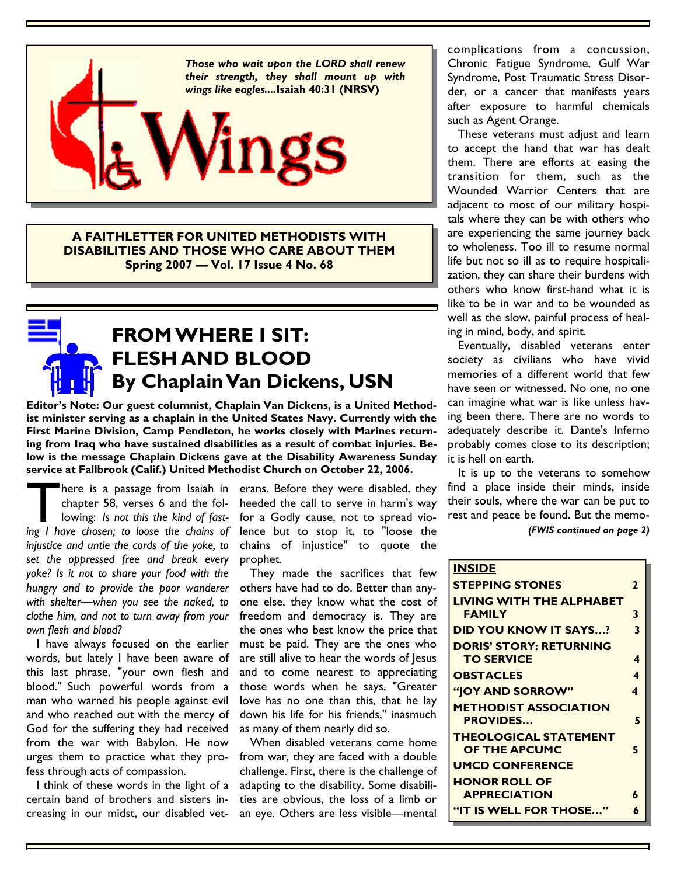

**A FAITHLETTER FOR UNITED METHODISTS WITH DISABILITIES AND THOSE WHO CARE ABOUT THEM Spring 2007 — Vol. 17 Issue 4 No. 68**

### **FROM WHERE I SIT: FLESH AND BLOOD By Chaplain Van Dickens, USN**

**Editor's Note: Our guest columnist, Chaplain Van Dickens, is a United Methodist minister serving as a chaplain in the United States Navy. Currently with the First Marine Division, Camp Pendleton, he works closely with Marines returning from Iraq who have sustained disabilities as a result of combat injuries. Below is the message Chaplain Dickens gave at the Disability Awareness Sunday service at Fallbrook (Calif.) United Methodist Church on October 22, 2006.** 

There is a passage from Isaiah in erans. Before they were disabled, they chapter 58, verses 6 and the fol-heeded the call to serve in harm's way lowing: Is not this the kind of fast- for a Godly cause, not to spread vio-<br>i chapter 58, verses 6 and the following: *Is not this the kind of fasting I have chosen; to loose the chains of injustice and untie the cords of the yoke, to set the oppressed free and break every yoke? Is it not to share your food with the hungry and to provide the poor wanderer with shelter—when you see the naked, to clothe him, and not to turn away from your own flesh and blood?* 

I have always focused on the earlier words, but lately I have been aware of this last phrase, "your own flesh and blood." Such powerful words from a man who warned his people against evil and who reached out with the mercy of God for the suffering they had received from the war with Babylon. He now urges them to practice what they profess through acts of compassion.

 I think of these words in the light of a certain band of brothers and sisters increasing in our midst, our disabled vet-

heeded the call to serve in harm's way for a Godly cause, not to spread violence but to stop it, to "loose the chains of injustice" to quote the prophet.

 They made the sacrifices that few others have had to do. Better than anyone else, they know what the cost of freedom and democracy is. They are the ones who best know the price that must be paid. They are the ones who are still alive to hear the words of Jesus and to come nearest to appreciating those words when he says, "Greater love has no one than this, that he lay down his life for his friends," inasmuch as many of them nearly did so.

 When disabled veterans come home from war, they are faced with a double challenge. First, there is the challenge of adapting to the disability. Some disabilities are obvious, the loss of a limb or an eye. Others are less visible—mental

complications from a concussion, Chronic Fatigue Syndrome, Gulf War Syndrome, Post Traumatic Stress Disorder, or a cancer that manifests years after exposure to harmful chemicals such as Agent Orange.

 These veterans must adjust and learn to accept the hand that war has dealt them. There are efforts at easing the transition for them, such as the Wounded Warrior Centers that are adjacent to most of our military hospitals where they can be with others who are experiencing the same journey back to wholeness. Too ill to resume normal life but not so ill as to require hospitalization, they can share their burdens with others who know first-hand what it is like to be in war and to be wounded as well as the slow, painful process of healing in mind, body, and spirit.

 Eventually, disabled veterans enter society as civilians who have vivid memories of a different world that few have seen or witnessed. No one, no one can imagine what war is like unless having been there. There are no words to adequately describe it. Dante's Inferno probably comes close to its description; it is hell on earth.

 It is up to the veterans to somehow find a place inside their minds, inside their souls, where the war can be put to rest and peace be found. But the memo- *(FWIS continued on page 2)* 

| <b>INSIDE</b>                   |   |
|---------------------------------|---|
| <b>STEPPING STONES</b>          | 2 |
| <b>LIVING WITH THE ALPHABET</b> |   |
| <b>FAMILY</b>                   | 3 |
| <b>DID YOU KNOW IT SAYS?</b>    | 3 |
| <b>DORIS' STORY: RETURNING</b>  |   |
| <b>TO SERVICE</b>               | 4 |
| <b>OBSTACLES</b>                | 4 |
| "JOY AND SORROW"                | 4 |
| <b>METHODIST ASSOCIATION</b>    |   |
| <b>PROVIDES</b>                 | 5 |
| <b>THEOLOGICAL STATEMENT</b>    |   |
| <b>OF THE APCUMC</b>            | 5 |
| <b>UMCD CONFERENCE</b>          |   |
| <b>HONOR ROLL OF</b>            |   |
| <b>APPRECIATION</b>             | Á |
| "IT IS WELL FOR THOSE"          | 6 |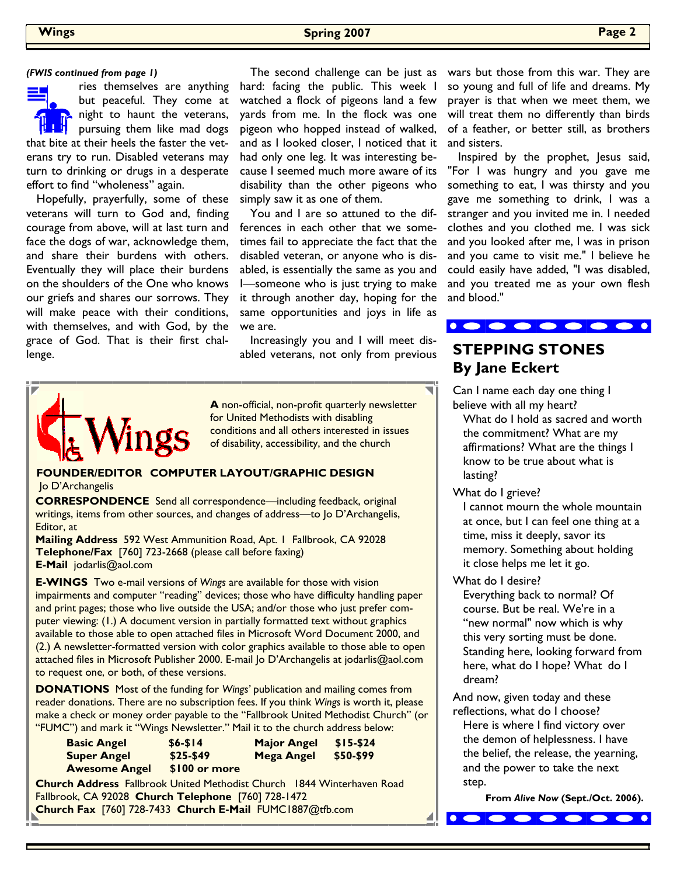### **Wings Spring 2007 Page 2**

ries themselves are anything but peaceful. They come at night to haunt the veterans, pursuing them like mad dogs that bite at their heels the faster the veterans try to run. Disabled veterans may turn to drinking or drugs in a desperate effort to find "wholeness" again.

 Hopefully, prayerfully, some of these veterans will turn to God and, finding courage from above, will at last turn and face the dogs of war, acknowledge them, and share their burdens with others. Eventually they will place their burdens on the shoulders of the One who knows our griefs and shares our sorrows. They will make peace with their conditions, with themselves, and with God, by the grace of God. That is their first challenge.

hard: facing the public. This week I watched a flock of pigeons land a few yards from me. In the flock was one pigeon who hopped instead of walked, and as I looked closer, I noticed that it had only one leg. It was interesting because I seemed much more aware of its disability than the other pigeons who simply saw it as one of them.

 You and I are so attuned to the differences in each other that we sometimes fail to appreciate the fact that the disabled veteran, or anyone who is disabled, is essentially the same as you and I—someone who is just trying to make it through another day, hoping for the same opportunities and joys in life as we are.

 Increasingly you and I will meet disabled veterans, not only from previous **STEPPING STONES** 



**A** non-official, non-profit quarterly newsletter for United Methodists with disabling conditions and all others interested in issues of disability, accessibility, and the church

### **FOUNDER/EDITOR COMPUTER LAYOUT/GRAPHIC DESIGN**  Jo D'Archangelis

**CORRESPONDENCE** Send all correspondence—including feedback, original writings, items from other sources, and changes of address—to Jo D'Archangelis, Editor, at

**Mailing Address** 592 West Ammunition Road, Apt. 1 Fallbrook, CA 92028 **Telephone/Fax** [760] 723-2668 (please call before faxing) **E-Mail** jodarlis@aol.com

**E-WINGS** Two e-mail versions of *Wings* are available for those with vision impairments and computer "reading" devices; those who have difficulty handling paper and print pages; those who live outside the USA; and/or those who just prefer computer viewing: (1.) A document version in partially formatted text without graphics available to those able to open attached files in Microsoft Word Document 2000, and (2.) A newsletter-formatted version with color graphics available to those able to open attached files in Microsoft Publisher 2000. E-mail Jo D'Archangelis at jodarlis@aol.com to request one, or both, of these versions.

**DONATIONS** Most of the funding for *Wings'* publication and mailing comes from reader donations. There are no subscription fees. If you think *Wings* is worth it, please make a check or money order payable to the "Fallbrook United Methodist Church" (or "FUMC") and mark it "Wings Newsletter." Mail it to the church address below:

| <b>Basic Angel</b>                                                            | $$6 - $14$    | <b>Major Angel</b> | $$15-$24$ |  |  |
|-------------------------------------------------------------------------------|---------------|--------------------|-----------|--|--|
| <b>Super Angel</b>                                                            | $$25-$49$     | <b>Mega Angel</b>  | \$50-\$99 |  |  |
| <b>Awesome Angel</b>                                                          | \$100 or more |                    |           |  |  |
| <b>Church Address</b> Fallbrook United Methodist Church 1844 Winterhaven Road |               |                    |           |  |  |
| Fallbrook, CA 92028 Church Telephone [760] 728-1472                           |               |                    |           |  |  |
| Church Fax [760] 728-7433 Church E-Mail FUMC1887@tfb.com                      |               |                    |           |  |  |

(FWIS continued from page 1) The second challenge can be just as wars but those from this war. They are so young and full of life and dreams. My prayer is that when we meet them, we will treat them no differently than birds of a feather, or better still, as brothers and sisters.

> Inspired by the prophet, Jesus said, "For I was hungry and you gave me something to eat, I was thirsty and you gave me something to drink, I was a stranger and you invited me in. I needed clothes and you clothed me. I was sick and you looked after me, I was in prison and you came to visit me." I believe he could easily have added, "I was disabled, and you treated me as your own flesh and blood."



## **By Jane Eckert**

Can I name each day one thing I believe with all my heart? What do I hold as sacred and worth

 the commitment? What are my affirmations? What are the things I know to be true about what is lasting?

What do I grieve?

 I cannot mourn the whole mountain at once, but I can feel one thing at a time, miss it deeply, savor its memory. Something about holding it close helps me let it go.

What do I desire?

 Everything back to normal? Of course. But be real. We're in a "new normal" now which is why this very sorting must be done. Standing here, looking forward from here, what do I hope? What do I dream?

And now, given today and these reflections, what do I choose? Here is where I find victory over the demon of helplessness. I have the belief, the release, the yearning, and the power to take the next step.

 $\bullet\bullet\bullet\bullet\bullet\bullet\bullet\bullet$ 

**From** *Alive Now* **(Sept./Oct. 2006).**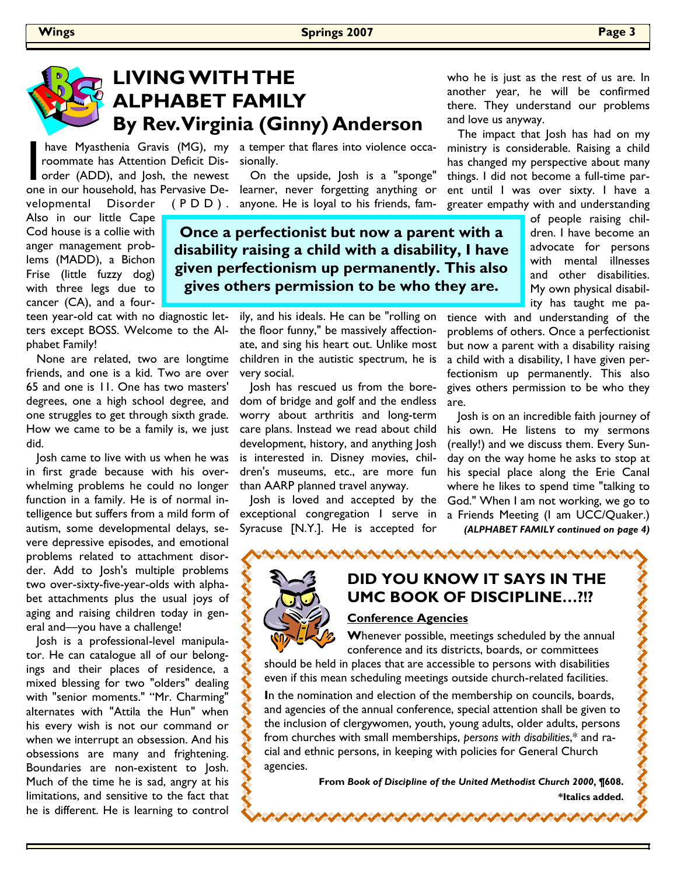

### **LIVING WITH THE ALPHABET FAMILY By Rev. Virginia (Ginny) Anderson**

have Myasthenia Gravis (MG), my<br>roommate has Attention Deficit Dis-<br>order (ADD), and Josh, the newest roommate has Attention Deficit Disorder (ADD), and Josh, the newest

velopmental Disorder

Also in our little Cape Cod house is a collie with anger management problems (MADD), a Bichon Frise (little fuzzy dog) with three legs due to cancer (CA), and a four-

teen year-old cat with no diagnostic letters except BOSS. Welcome to the Alphabet Family!

 None are related, two are longtime friends, and one is a kid. Two are over 65 and one is 11. One has two masters' degrees, one a high school degree, and one struggles to get through sixth grade. How we came to be a family is, we just did.

 Josh came to live with us when he was in first grade because with his overwhelming problems he could no longer function in a family. He is of normal intelligence but suffers from a mild form of autism, some developmental delays, severe depressive episodes, and emotional problems related to attachment disorder. Add to Josh's multiple problems two over-sixty-five-year-olds with alphabet attachments plus the usual joys of aging and raising children today in general and—you have a challenge!

 Josh is a professional-level manipulator. He can catalogue all of our belongings and their places of residence, a mixed blessing for two "olders" dealing with "senior moments." "Mr. Charming" alternates with "Attila the Hun" when his every wish is not our command or when we interrupt an obsession. And his obsessions are many and frightening. Boundaries are non-existent to Josh. Much of the time he is sad, angry at his limitations, and sensitive to the fact that he is different. He is learning to control

have Myasthenia Gravis (MG), my a temper that flares into violence occasionally.

one in our household, has Pervasive De-learner, never forgetting anything or On the upside, Josh is a "sponge"  $(P \nD)$ . anyone. He is loyal to his friends, fam-

> **Once a perfectionist but now a parent with a disability raising a child with a disability, I have gives others permission to be who they are.**

> > ily, and his ideals. He can be "rolling on the floor funny," be massively affectionate, and sing his heart out. Unlike most children in the autistic spectrum, he is very social.

 Josh has rescued us from the boredom of bridge and golf and the endless worry about arthritis and long-term care plans. Instead we read about child development, history, and anything Josh is interested in. Disney movies, children's museums, etc., are more fun than AARP planned travel anyway.

 Josh is loved and accepted by the exceptional congregation I serve in Syracuse [N.Y.]. He is accepted for

who he is just as the rest of us are. In another year, he will be confirmed there. They understand our problems and love us anyway.

 The impact that Josh has had on my ministry is considerable. Raising a child has changed my perspective about many things. I did not become a full-time parent until I was over sixty. I have a greater empathy with and understanding

> of people raising children. I have become an advocate for persons with mental illnesses and other disabilities. My own physical disability has taught me pa-

tience with and understanding of the problems of others. Once a perfectionist but now a parent with a disability raising a child with a disability, I have given perfectionism up permanently. This also gives others permission to be who they are.

 Josh is on an incredible faith journey of his own. He listens to my sermons (really!) and we discuss them. Every Sunday on the way home he asks to stop at his special place along the Erie Canal where he likes to spend time "talking to God." When I am not working, we go to a Friends Meeting (I am UCC/Quaker.) *(ALPHABET FAMILY continued on page 4)* 

**DID YOU KNOW IT SAYS IN THE UMC BOOK OF DISCIPLINE…?!?** 

NASARANA AMARANA AMARANA AMARANA

### **Conference Agencies**

**W**henever possible, meetings scheduled by the annual conference and its districts, boards, or committees

should be held in places that are accessible to persons with disabilities even if this mean scheduling meetings outside church-related facilities.

**I**n the nomination and election of the membership on councils, boards, and agencies of the annual conference, special attention shall be given to the inclusion of clergywomen, youth, young adults, older adults, persons from churches with small memberships, *persons with disabilities*,\* and racial and ethnic persons, in keeping with policies for General Church agencies.

ひょうけいきけいきけいきけいきけいき

**From** *Book of Discipline of the United Methodist Church 2000***, ¶608.** 

**\*Italics added.** 

くろく くくくくくく

# **given perfectionism up permanently. This also**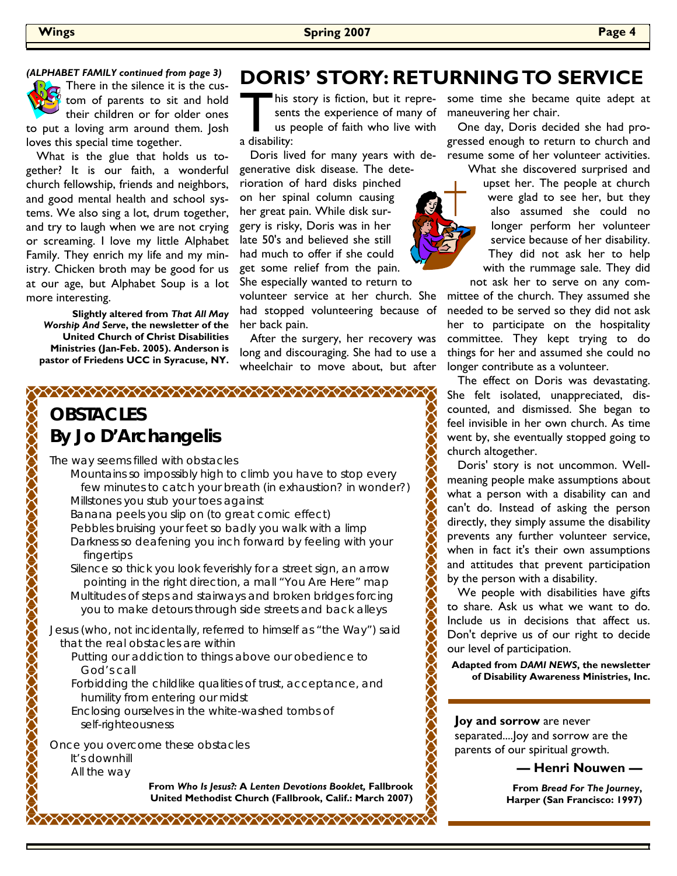### *(ALPHABET FAMILY continued from page 3)*

There in the silence it is the custom of parents to sit and hold their children or for older ones to put a loving arm around them. Josh loves this special time together.

 What is the glue that holds us together? It is our faith, a wonderful church fellowship, friends and neighbors, and good mental health and school systems. We also sing a lot, drum together, and try to laugh when we are not crying or screaming. I love my little Alphabet Family. They enrich my life and my ministry. Chicken broth may be good for us at our age, but Alphabet Soup is a lot more interesting.

**Slightly altered from** *That All May Worship And Serve***, the newsletter of the United Church of Christ Disabilities Ministries (Jan-Feb. 2005). Anderson is pastor of Friedens UCC in Syracuse, NY.**

### **DORIS' STORY: RETURNING TO SERVICE**

his story is fiction, but it repre-<br>sents the experience of many of<br>us people of faith who live with sents the experience of many of us people of faith who live with a disability:

 Doris lived for many years with degenerative disk disease. The dete-

rioration of hard disks pinched on her spinal column causing her great pain. While disk surgery is risky, Doris was in her late 50's and believed she still had much to offer if she could get some relief from the pain. She especially wanted to return to

volunteer service at her church. She had stopped volunteering because of her back pain.

 After the surgery, her recovery was long and discouraging. She had to use a wheelchair to move about, but after

### **OBSTACLES By Jo D'Archangelis**

The way seems filled with obstacles

 Mountains so impossibly high to climb you have to stop every few minutes to catch your breath (in exhaustion? in wonder?) Millstones you stub your toes against

 Banana peels you slip on (to great comic effect) Pebbles bruising your feet so badly you walk with a limp Darkness so deafening you inch forward by feeling with your fingertips

 Silence so thick you look feverishly for a street sign, an arrow pointing in the right direction, a mall "You Are Here" map Multitudes of steps and stairways and broken bridges forcing

you to make detours through side streets and back alleys

Jesus (who, not incidentally, referred to himself as "the Way") said that the real obstacles are within

- Putting our addiction to things above our obedience to God's call
- Forbidding the childlike qualities of trust, acceptance, and humility from entering our midst
- Enclosing ourselves in the white-washed tombs of self-righteousness

Once you overcome these obstacles It's downhill

All the way

**From** *Who Is Jesus?:* **A** *Lenten Devotions Booklet,* **Fallbrook United Methodist Church (Fallbrook, Calif.: March 2007)**

some time she became quite adept at maneuvering her chair.

 One day, Doris decided she had progressed enough to return to church and resume some of her volunteer activities.

What she discovered surprised and upset her. The people at church were glad to see her, but they also assumed she could no longer perform her volunteer service because of her disability. They did not ask her to help with the rummage sale. They did

not ask her to serve on any committee of the church. They assumed she needed to be served so they did not ask her to participate on the hospitality committee. They kept trying to do things for her and assumed she could no longer contribute as a volunteer.

 The effect on Doris was devastating. She felt isolated, unappreciated, discounted, and dismissed. She began to feel invisible in her own church. As time went by, she eventually stopped going to church altogether.

 Doris' story is not uncommon. Wellmeaning people make assumptions about what a person with a disability can and can't do. Instead of asking the person directly, they simply assume the disability prevents any further volunteer service, when in fact it's their own assumptions and attitudes that prevent participation by the person with a disability.

 We people with disabilities have gifts to share. Ask us what we want to do. Include us in decisions that affect us. Don't deprive us of our right to decide our level of participation.

**Adapted from** *DAMI NEWS***, the newsletter of Disability Awareness Ministries, Inc.**

**Joy and sorrow** are never separated....Joy and sorrow are the parents of our spiritual growth.

 **— Henri Nouwen —** 

**From** *Bread For The Journey***, Harper (San Francisco: 1997)**

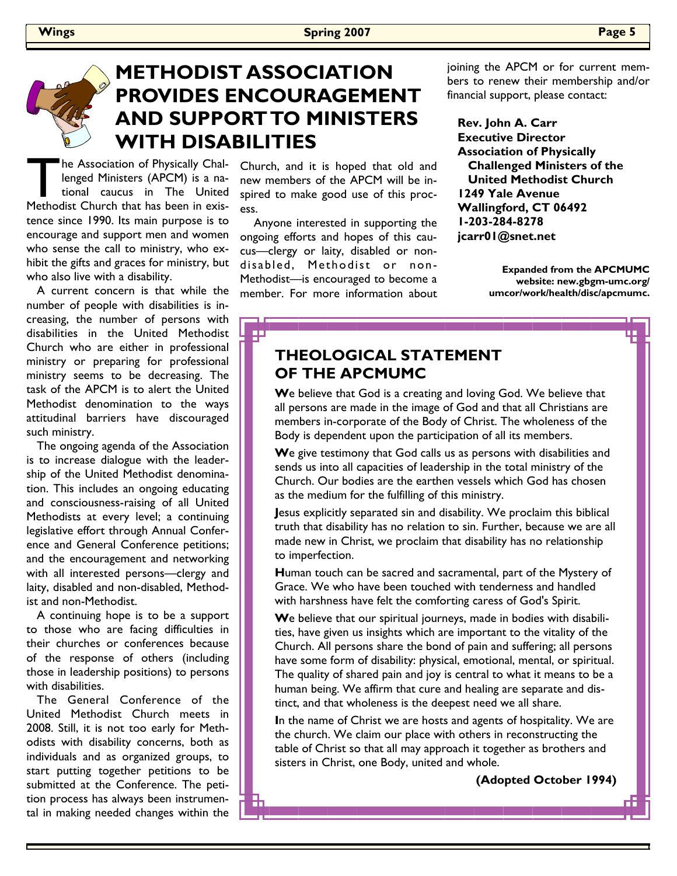### **METHODIST ASSOCIATION PROVIDES ENCOURAGEMENT AND SUPPORT TO MINISTERS WITH DISABILITIES**

巴

The Association of Physically Chal-<br>lenged Ministers (APCM) is a national caucus in The United<br>Methodist Church that has been in exislenged Ministers (APCM) is a national caucus in The United Methodist Church that has been in existence since 1990. Its main purpose is to encourage and support men and women who sense the call to ministry, who exhibit the gifts and graces for ministry, but who also live with a disability.

 A current concern is that while the number of people with disabilities is increasing, the number of persons with disabilities in the United Methodist Church who are either in professional ministry or preparing for professional ministry seems to be decreasing. The task of the APCM is to alert the United Methodist denomination to the ways attitudinal barriers have discouraged such ministry.

 The ongoing agenda of the Association is to increase dialogue with the leadership of the United Methodist denomination. This includes an ongoing educating and consciousness-raising of all United Methodists at every level; a continuing legislative effort through Annual Conference and General Conference petitions; and the encouragement and networking with all interested persons—clergy and laity, disabled and non-disabled, Methodist and non-Methodist.

 A continuing hope is to be a support to those who are facing difficulties in their churches or conferences because of the response of others (including those in leadership positions) to persons with disabilities.

 The General Conference of the United Methodist Church meets in 2008. Still, it is not too early for Methodists with disability concerns, both as individuals and as organized groups, to start putting together petitions to be submitted at the Conference. The petition process has always been instrumental in making needed changes within the

Church, and it is hoped that old and new members of the APCM will be inspired to make good use of this process.

 Anyone interested in supporting the ongoing efforts and hopes of this caucus—clergy or laity, disabled or nondisabled, Methodist or non-Methodist—is encouraged to become a member. For more information about joining the APCM or for current members to renew their membership and/or financial support, please contact:

 **Rev. John A. Carr Executive Director Association of Physically Challenged Ministers of the United Methodist Church 1249 Yale Avenue Wallingford, CT 06492 1-203-284-8278 jcarr01@snet.net** 

> **Expanded from the APCMUMC website: new.gbgm-umc.org/ umcor/work/health/disc/apcmumc.**

### **THEOLOGICAL STATEMENT OF THE APCMUMC**

**W**e believe that God is a creating and loving God. We believe that all persons are made in the image of God and that all Christians are members in-corporate of the Body of Christ. The wholeness of the Body is dependent upon the participation of all its members.

**W**e give testimony that God calls us as persons with disabilities and sends us into all capacities of leadership in the total ministry of the Church. Our bodies are the earthen vessels which God has chosen as the medium for the fulfilling of this ministry.

**J**esus explicitly separated sin and disability. We proclaim this biblical truth that disability has no relation to sin. Further, because we are all made new in Christ, we proclaim that disability has no relationship to imperfection.

**H**uman touch can be sacred and sacramental, part of the Mystery of Grace. We who have been touched with tenderness and handled with harshness have felt the comforting caress of God's Spirit.

**W**e believe that our spiritual journeys, made in bodies with disabilities, have given us insights which are important to the vitality of the Church. All persons share the bond of pain and suffering; all persons have some form of disability: physical, emotional, mental, or spiritual. The quality of shared pain and joy is central to what it means to be a human being. We affirm that cure and healing are separate and distinct, and that wholeness is the deepest need we all share.

**I**n the name of Christ we are hosts and agents of hospitality. We are the church. We claim our place with others in reconstructing the table of Christ so that all may approach it together as brothers and sisters in Christ, one Body, united and whole.

**(Adopted October 1994)**